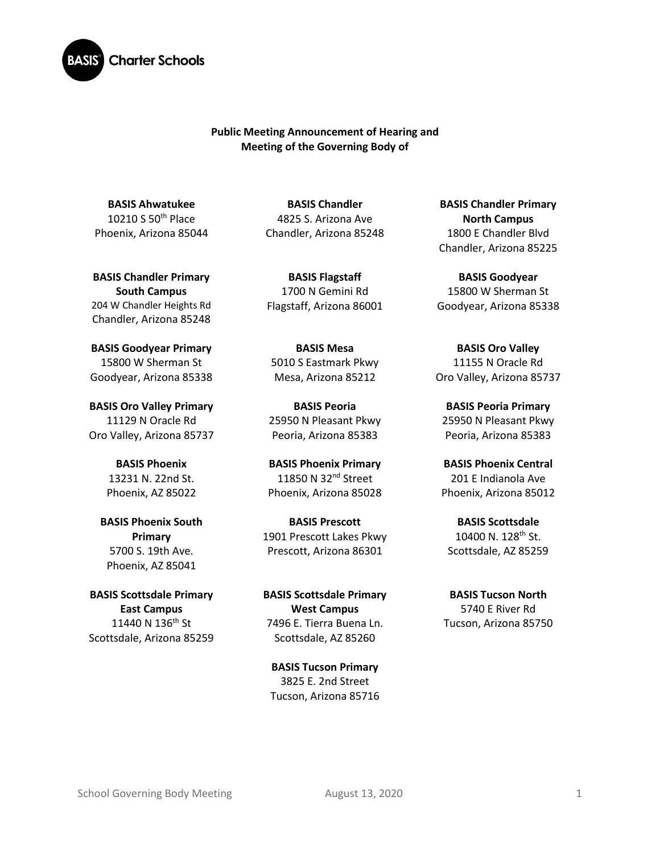

## **Public Meeting Announcement of Hearing and Meeting of the Governing Body of**

**BASIS Ahwatukee** 10210 S 50th Place Phoenix, Arizona 85044

**BASIS Chandler Primary South Campus**  204 W Chandler Heights Rd Chandler, Arizona 85248

**BASIS Goodyear Primary** 15800 W Sherman St Goodyear, Arizona 85338

**BASIS Oro Valley Primary**  11129 N Oracle Rd Oro Valley, Arizona 85737

> **BASIS Phoenix** 13231 N. 22nd St. Phoenix, AZ 85022

**BASIS Phoenix South Primary** 5700 S. 19th Ave. Phoenix, AZ 85041

**BASIS Scottsdale Primary East Campus** 11440 N 136<sup>th</sup> St Scottsdale, Arizona 85259

**BASIS Chandler** 4825 S. Arizona Ave Chandler, Arizona 85248

**BASIS Flagstaff** 1700 N Gemini Rd Flagstaff, Arizona 86001

**BASIS Mesa**  5010 S Eastmark Pkwy Mesa, Arizona 85212

**BASIS Peoria** 25950 N Pleasant Pkwy Peoria, Arizona 85383

**BASIS Phoenix Primary** 11850 N 32<sup>nd</sup> Street Phoenix, Arizona 85028

**BASIS Prescott** 1901 Prescott Lakes Pkwy Prescott, Arizona 86301

**BASIS Scottsdale Primary West Campus** 7496 E. Tierra Buena Ln. Scottsdale, AZ 85260

**BASIS Tucson Primary** 3825 E. 2nd Street Tucson, Arizona 85716

**BASIS Chandler Primary North Campus** 1800 E Chandler Blvd Chandler, Arizona 85225

**BASIS Goodyear** 15800 W Sherman St Goodyear, Arizona 85338

**BASIS Oro Valley** 11155 N Oracle Rd Oro Valley, Arizona 85737

**BASIS Peoria Primary**  25950 N Pleasant Pkwy Peoria, Arizona 85383

**BASIS Phoenix Central** 201 E Indianola Ave Phoenix, Arizona 85012

**BASIS Scottsdale** 10400 N. 128<sup>th</sup> St. Scottsdale, AZ 85259

**BASIS Tucson North** 5740 E River Rd Tucson, Arizona 85750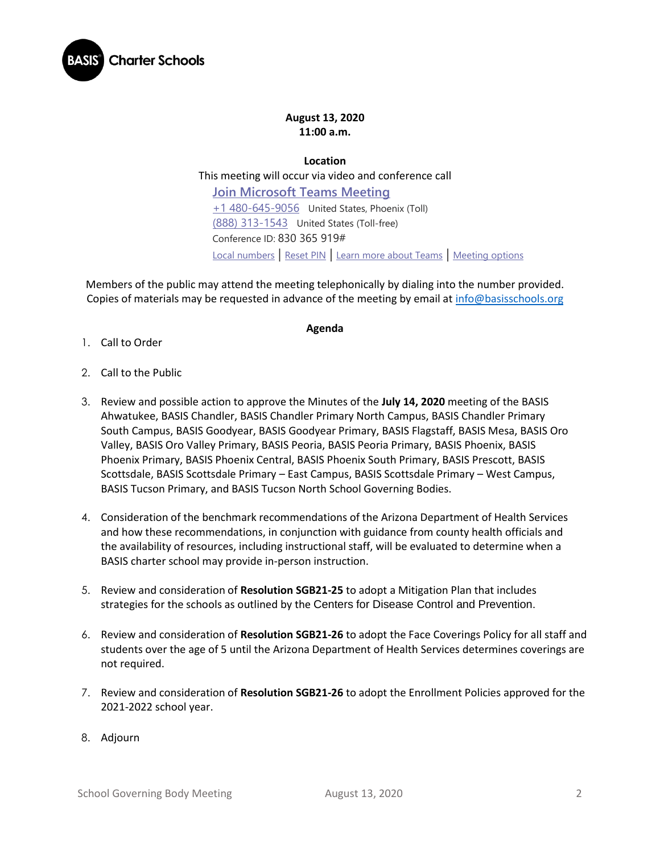

## **August 13, 2020 11:00 a.m.**

**Location**

This meeting will occur via video and conference call

**[Join Microsoft Teams Meeting](https://teams.microsoft.com/l/meetup-join/19%3ameeting_N2NjZGI5MGYtYWIzMi00NGM5LTg3NmItMTNiZjMwOTZkODY5%40thread.v2/0?context=%7b%22Tid%22%3a%22e5f3479c-502f-4e92-b060-0c0c560d6271%22%2c%22Oid%22%3a%22575e4f74-824e-48e9-9805-77af91568d41%22%7d)** [+1 480-645-9056](tel:+1%20480-645-9056,,830365919# ) United States, Phoenix (Toll) [\(888\) 313-1543](tel:(888)%20313-1543,,830365919# ) United States (Toll-free) Conference ID: 830 365 919# [Local numbers](https://dialin.teams.microsoft.com/3e0a2be1-b5a1-42db-9b9d-43492c0d1187?id=830365919) | [Reset PIN](https://mysettings.lync.com/pstnconferencing) | [Learn more about Teams](https://aka.ms/JoinTeamsMeeting) | [Meeting options](https://teams.microsoft.com/meetingOptions/?organizerId=575e4f74-824e-48e9-9805-77af91568d41&tenantId=e5f3479c-502f-4e92-b060-0c0c560d6271&threadId=19_meeting_N2NjZGI5MGYtYWIzMi00NGM5LTg3NmItMTNiZjMwOTZkODY5@thread.v2&messageId=0&language=en-US)

Members of the public may attend the meeting telephonically by dialing into the number provided. Copies of materials may be requested in advance of the meeting by email a[t info@basisschools.org](mailto:info@basisschools.org)

## **Agenda**

- 1. Call to Order
- 2. Call to the Public
- 3. Review and possible action to approve the Minutes of the **July 14, 2020** meeting of the BASIS Ahwatukee, BASIS Chandler, BASIS Chandler Primary North Campus, BASIS Chandler Primary South Campus, BASIS Goodyear, BASIS Goodyear Primary, BASIS Flagstaff, BASIS Mesa, BASIS Oro Valley, BASIS Oro Valley Primary, BASIS Peoria, BASIS Peoria Primary, BASIS Phoenix, BASIS Phoenix Primary, BASIS Phoenix Central, BASIS Phoenix South Primary, BASIS Prescott, BASIS Scottsdale, BASIS Scottsdale Primary – East Campus, BASIS Scottsdale Primary – West Campus, BASIS Tucson Primary, and BASIS Tucson North School Governing Bodies.
- 4. Consideration of the benchmark recommendations of the Arizona Department of Health Services and how these recommendations, in conjunction with guidance from county health officials and the availability of resources, including instructional staff, will be evaluated to determine when a BASIS charter school may provide in-person instruction.
- 5. Review and consideration of **Resolution SGB21-25** to adopt a Mitigation Plan that includes strategies for the schools as outlined by the Centers for Disease Control and Prevention.
- 6. Review and consideration of **Resolution SGB21-26** to adopt the Face Coverings Policy for all staff and students over the age of 5 until the Arizona Department of Health Services determines coverings are not required.
- 7. Review and consideration of **Resolution SGB21-26** to adopt the Enrollment Policies approved for the 2021-2022 school year.
- 8. Adjourn